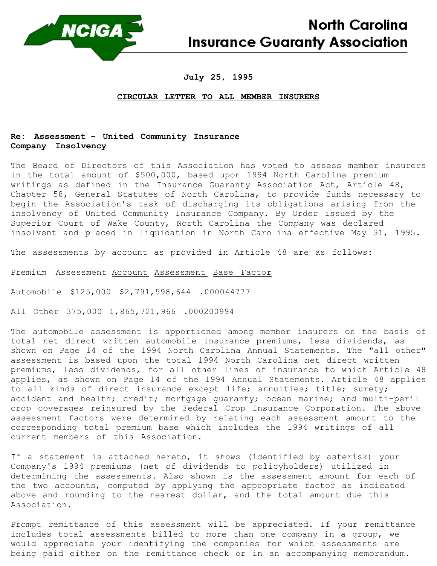

# **North Carolina Insurance Guaranty Association**

### **July 25, 1995**

#### **CIRCULAR LETTER TO ALL MEMBER INSURERS**

## **Re: Assessment - United Community Insurance Company Insolvency**

The Board of Directors of this Association has voted to assess member insurers in the total amount of \$500,000, based upon 1994 North Carolina premium writings as defined in the Insurance Guaranty Association Act, Article 48, Chapter 58, General Statutes of North Carolina, to provide funds necessary to begin the Association's task of discharging its obligations arising from the insolvency of United Community Insurance Company. By Order issued by the Superior Court of Wake County, North Carolina the Company was declared insolvent and placed in liquidation in North Carolina effective May 31, 1995.

The assessments by account as provided in Article 48 are as follows:

Premium Assessment Account Assessment Base Factor

Automobile \$125,000 \$2,791,598,644 .000044777

All Other 375,000 1,865,721,966 .000200994

The automobile assessment is apportioned among member insurers on the basis of total net direct written automobile insurance premiums, less dividends, as shown on Page 14 of the 1994 North Carolina Annual Statements. The "all other" assessment is based upon the total 1994 North Carolina net direct written premiums, less dividends, for all other lines of insurance to which Article 48 applies, as shown on Page 14 of the 1994 Annual Statements. Article 48 applies to all kinds of direct insurance except life; annuities; title; surety; accident and health; credit; mortgage quaranty; ocean marine; and multi-peril crop coverages reinsured by the Federal Crop Insurance Corporation. The above assessment factors were determined by relating each assessment amount to the corresponding total premium base which includes the 1994 writings of all current members of this Association.

If a statement is attached hereto, it shows (identified by asterisk) your Company's 1994 premiums (net of dividends to policyholders) utilized in determining the assessments. Also shown is the assessment amount for each of the two accounts, computed by applying the appropriate factor as indicated above and rounding to the nearest dollar, and the total amount due this Association.

Prompt remittance of this assessment will be appreciated. If your remittance includes total assessments billed to more than one company in a group, we would appreciate your identifying the companies for which assessments are being paid either on the remittance check or in an accompanying memorandum.